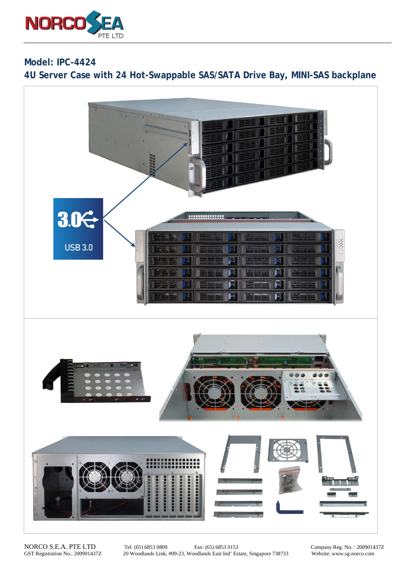

**Model: IPC-4424 4U Server Case with 24 Hot-Swappable SAS/SATA Drive Bay, MINI-SAS backplane**



NORCO S.E.A. PTE LTD Tel: (65) 6853 0809 Fax: (65) 6853 0153 Company Reg. No. : 200901437Z<br>GST Registration No.: 200901437Z 20 Woodlands Link, #09-23, Woodlands East Ind' Estate, Singapore 738733 Website: www.sg-norco.com 20 Woodlands Link, #09-23, Woodlands East Ind' Estate, Singapore 738733